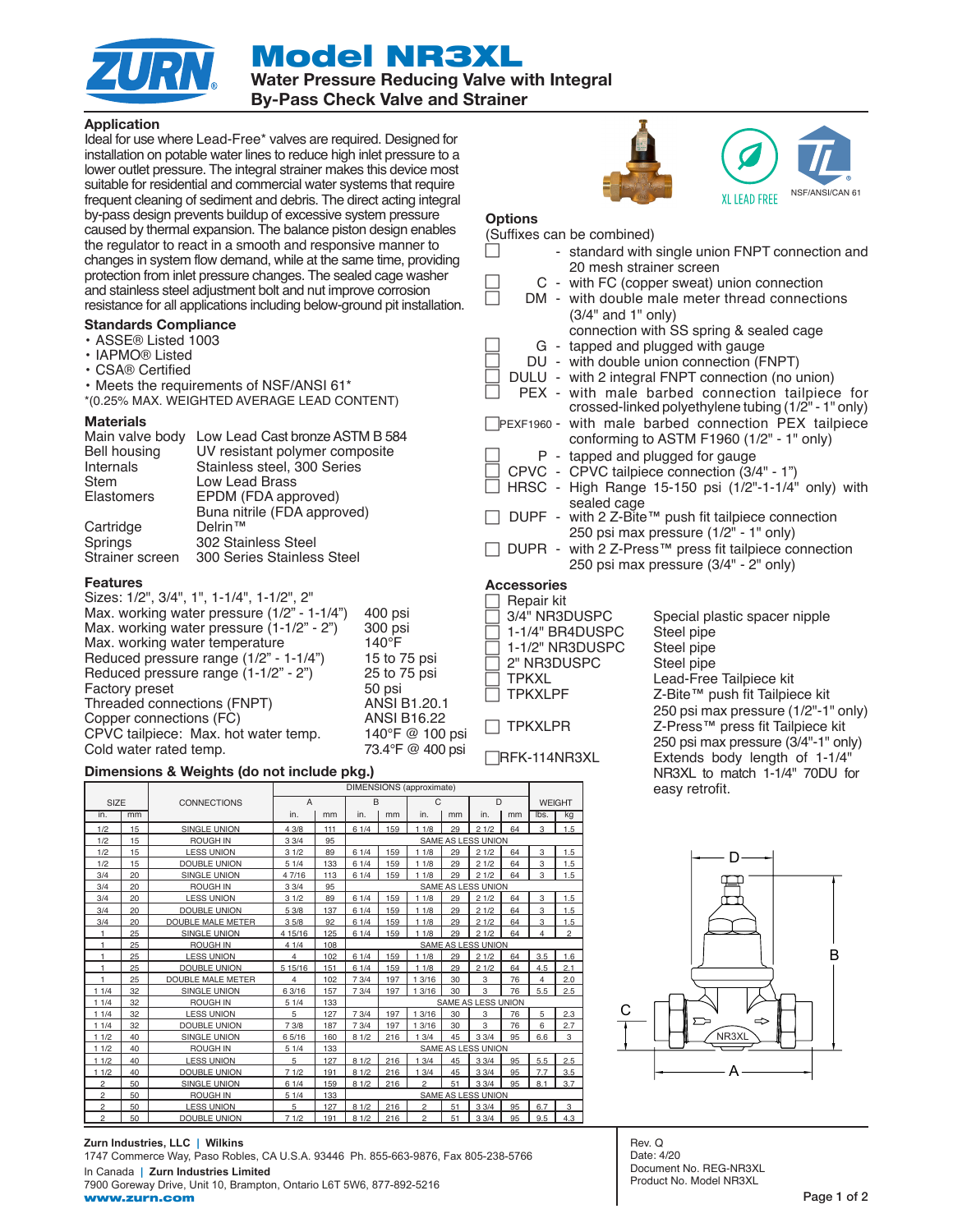Model NR3XL



Water Pressure Reducing Valve with Integral

By-Pass Check Valve and Strainer

## Application

Ideal for use where Lead-Free\* valves are required. Designed for installation on potable water lines to reduce high inlet pressure to a lower outlet pressure. The integral strainer makes this device most suitable for residential and commercial water systems that require frequent cleaning of sediment and debris. The direct acting integral by-pass design prevents buildup of excessive system pressure caused by thermal expansion. The balance piston design enables the regulator to react in a smooth and responsive manner to changes in system flow demand, while at the same time, providing protection from inlet pressure changes. The sealed cage washer and stainless steel adjustment bolt and nut improve corrosion resistance for all applications including below-ground pit installation.

#### Standards Compliance

- ASSE® Listed 1003
- IAPMO® Listed
- CSA® Certified

• Meets the requirements of NSF/ANSI 61\*

\*(0.25% MAX. WEIGHTED AVERAGE LEAD CONTENT)

#### **Materials**

| Main valve body   | Low Lead Cast bronze ASTM B 584 |
|-------------------|---------------------------------|
| Bell housing      | UV resistant polymer composite  |
| Internals         | Stainless steel, 300 Series     |
| Stem              | <b>Low Lead Brass</b>           |
| <b>Elastomers</b> | EPDM (FDA approved)             |
|                   | Buna nitrile (FDA approved)     |
| Cartridge         | Delrin™                         |
| Springs           | 302 Stainless Steel             |
| Strainer screen   | 300 Series Stainless Steel      |

#### Features

Sizes: 1/2", 3/4", 1", 1-1/4", 1-1/2", 2" Max. working water pressure (1/2" - 1-1/4") 400 psi Max. working water pressure (1-1/2" - 2") 300 psi<br>Max. working water temperature 140°F Max. working water temperature 140°F<br>Reduced pressure range (1/2" - 1-1/4") 15 to 75 psi Reduced pressure range  $(1/2" - 1-1/4")$ Reduced pressure range  $(1-1/2)$  - 2") 25 to 75 psi Factory preset 50 psi Threaded connections (FNPT) ANSI B1.20.1<br>Copper connections (FC) ANSI B16.22 Copper connections (FC) ANSI B16.22 CPVC tailpiece: Max. hot water temp.  $140^{\circ}$ F @ 100 psi<br>Cold water rated temp.  $73.4^{\circ}$ F @ 400 psi Cold water rated temp.

#### Dimensions & Weights (do not include pkg.)

|                |    |                          | <b>DIMENSIONS</b> (approximate) |     |                           |     |                |    |      |    |               |                |
|----------------|----|--------------------------|---------------------------------|-----|---------------------------|-----|----------------|----|------|----|---------------|----------------|
| SIZE           |    | <b>CONNECTIONS</b>       | $\overline{A}$                  |     | B                         |     | C              |    | D    |    | <b>WEIGHT</b> |                |
| in.            | mm |                          | in.                             | mm  | in.                       | mm  | in.            | mm | in.  | mm | lbs.          | kg             |
| 1/2            | 15 | <b>SINGLE UNION</b>      | 4 3/8                           | 111 | 61/4                      | 159 | 11/8           | 29 | 21/2 | 64 | 3             | 1.5            |
| 1/2            | 15 | <b>ROUGH IN</b>          | 33/4                            | 95  | <b>SAME AS LESS UNION</b> |     |                |    |      |    |               |                |
| 1/2            | 15 | <b>LESS UNION</b>        | 31/2                            | 89  | 61/4                      | 159 | 11/8           | 29 | 21/2 | 64 | 3             | 1.5            |
| 1/2            | 15 | <b>DOUBLE UNION</b>      | 51/4                            | 133 | 61/4                      | 159 | 11/8           | 29 | 21/2 | 64 | 3             | 1.5            |
| 3/4            | 20 | <b>SINGLE UNION</b>      | 4 7/16                          | 113 | 61/4                      | 159 | 11/8           | 29 | 21/2 | 64 | 3             | 1.5            |
| 3/4            | 20 | <b>ROUGH IN</b>          | 33/4                            | 95  | <b>SAME AS LESS UNION</b> |     |                |    |      |    |               |                |
| 3/4            | 20 | <b>LESS UNION</b>        | 31/2                            | 89  | 61/4                      | 159 | 11/8           | 29 | 21/2 | 64 | 3             | 1.5            |
| 3/4            | 20 | <b>DOUBLE UNION</b>      | 5 3/8                           | 137 | 61/4                      | 159 | 11/8           | 29 | 21/2 | 64 | 3             | 1.5            |
| 3/4            | 20 | <b>DOUBLE MALE METER</b> | 35/8                            | 92  | 61/4                      | 159 | 11/8           | 29 | 21/2 | 64 | 3             | 1.5            |
| 1              | 25 | <b>SINGLE UNION</b>      | 4 15/16                         | 125 | 61/4                      | 159 | 11/8           | 29 | 21/2 | 64 | 4             | $\overline{c}$ |
| 1              | 25 | <b>ROUGH IN</b>          | 41/4                            | 108 | <b>SAME AS LESS UNION</b> |     |                |    |      |    |               |                |
| 1              | 25 | <b>LESS UNION</b>        | 4                               | 102 | 61/4                      | 159 | 11/8           | 29 | 21/2 | 64 | 3.5           | 1.6            |
| 1              | 25 | DOUBLE UNION             | 5 1 5 / 1 6                     | 151 | 61/4                      | 159 | 11/8           | 29 | 21/2 | 64 | 4.5           | 2.1            |
|                | 25 | <b>DOUBLE MALE METER</b> | 4                               | 102 | 7.3/4                     | 197 | 1 3/16         | 30 | 3    | 76 | 4             | 2.0            |
| 11/4           | 32 | <b>SINGLE UNION</b>      | 6 3/16                          | 157 | 73/4                      | 197 | 1 3/16         | 30 | 3    | 76 | 5.5           | 2.5            |
| 11/4           | 32 | <b>ROUGH IN</b>          | 51/4                            | 133 | SAME AS LESS UNION        |     |                |    |      |    |               |                |
| 11/4           | 32 | <b>LESS UNION</b>        | 5                               | 127 | 73/4                      | 197 | 1 3/16         | 30 | 3    | 76 | 5             | 2.3            |
| 11/4           | 32 | <b>DOUBLE UNION</b>      | 7 3/8                           | 187 | 73/4                      | 197 | 1 3/16         | 30 | 3    | 76 | 6             | 2.7            |
| 11/2           | 40 | SINGLE UNION             | 65/16                           | 160 | 81/2                      | 216 | 13/4           | 45 | 33/4 | 95 | 6.6           | 3              |
| 11/2           | 40 | <b>ROUGH IN</b>          | 51/4                            | 133 | <b>SAME AS LESS UNION</b> |     |                |    |      |    |               |                |
| 11/2           | 40 | <b>LESS UNION</b>        | 5                               | 127 | 81/2                      | 216 | 13/4           | 45 | 33/4 | 95 | 5.5           | 2.5            |
| 11/2           | 40 | <b>DOUBLE UNION</b>      | 71/2                            | 191 | 81/2                      | 216 | 13/4           | 45 | 33/4 | 95 | 7.7           | 3.5            |
| 2              | 50 | <b>SINGLE UNION</b>      | 61/4                            | 159 | 81/2                      | 216 | $\overline{2}$ | 51 | 33/4 | 95 | 8.1           | 3.7            |
| $\overline{c}$ | 50 | <b>ROUGH IN</b>          | 51/4                            | 133 | <b>SAME AS LESS UNION</b> |     |                |    |      |    |               |                |
| 2              | 50 | <b>LESS UNION</b>        | 5                               | 127 | 81/2                      | 216 | $\overline{c}$ | 51 | 33/4 | 95 | 6.7           | 3              |
| $\overline{c}$ | 50 | DOUBLE UNION             | 71/2                            | 191 | 81/2                      | 216 | $\overline{c}$ | 51 | 33/4 | 95 | 9.5           | 4.3            |

**Zurn Industries, LLC | Wilkins** 1747 Commerce Way, Paso Robles, CA U.S.A. 93446 Ph. 855-663-9876, Fax 805-238-5766 In Canada **| Zurn Industries Limited** 7900 Goreway Drive, Unit 10, Brampton, Ontario L6T 5W6, 877-892-5216 www.zurn.com





#### **Options**

| (Suffixes can be combined)                            |                                                     |  |  |  |  |
|-------------------------------------------------------|-----------------------------------------------------|--|--|--|--|
|                                                       | - standard with single union FNPT connection and    |  |  |  |  |
| 20 mesh strainer screen                               |                                                     |  |  |  |  |
| C - with FC (copper sweat) union connection           |                                                     |  |  |  |  |
| DM - with double male meter thread connections        |                                                     |  |  |  |  |
| $(3/4"$ and $1"$ only)                                |                                                     |  |  |  |  |
| connection with SS spring & sealed cage               |                                                     |  |  |  |  |
| G - tapped and plugged with gauge                     |                                                     |  |  |  |  |
| DU - with double union connection (FNPT)              |                                                     |  |  |  |  |
| DULU - with 2 integral FNPT connection (no union)     |                                                     |  |  |  |  |
| PEX - with male barbed connection tailpiece for       |                                                     |  |  |  |  |
|                                                       | crossed-linked polyethylene tubing (1/2" - 1" only) |  |  |  |  |
| PEXF1960 - with male barbed connection PEX tailpiece  |                                                     |  |  |  |  |
| conforming to ASTM F1960 (1/2" - 1" only)             |                                                     |  |  |  |  |
| P - tapped and plugged for gauge                      |                                                     |  |  |  |  |
| CPVC - CPVC tailpiece connection (3/4" - 1")          |                                                     |  |  |  |  |
| HRSC - High Range 15-150 psi (1/2"-1-1/4" only) with  |                                                     |  |  |  |  |
| sealed cage                                           |                                                     |  |  |  |  |
| DUPF - with 2 Z-Bite™ push fit tailpiece connection   |                                                     |  |  |  |  |
| 250 psi max pressure (1/2" - 1" only)                 |                                                     |  |  |  |  |
| DUPR - with 2 Z-Press™ press fit tailpiece connection |                                                     |  |  |  |  |
| 250 psi max pressure (3/4" - 2" only)                 |                                                     |  |  |  |  |
| <b>Accessories</b>                                    |                                                     |  |  |  |  |

- 
- Repair kit<br>3/4" NR3DUSPC 1-1/4" BR4DUSPC Steel pipe 1-1/2" NR3DUSPC Steel pipe 2" NR3DUSPC Steel pipe<br>
TPKXL Lead-Free
- 
- 

Special plastic spacer nipple Lead-Free Tailpiece kit TPKXLPF Z-Bite™ push fit Tailpiece kit 250 psi max pressure (1/2"-1" only) TPKXLPR Z-Press™ press fit Tailpiece kit 250 psi max pressure (3/4"-1" only) RFK-114NR3XL Extends body length of 1-1/4" NR3XL to match 1-1/4" 70DU for easy retrofit.



Rev. Q Date: 4/20 Document No. REG-NR3XL Product No. Model NR3XL